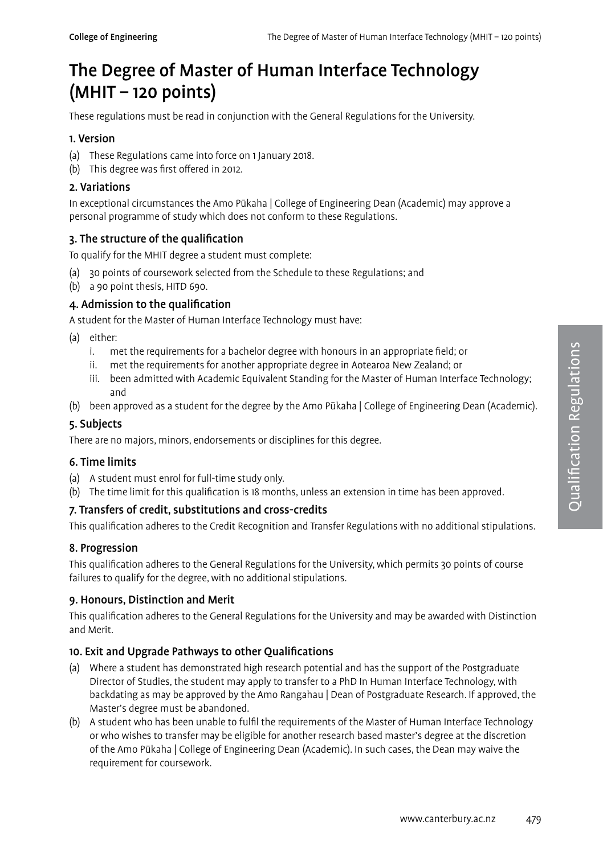# The Degree of Master of Human Interface Technology  $(MHIT - 120$  points)

These regulations must be read in conjunction with the General Regulations for the University.

## 1. Version

- (a) These Regulations came into force on 1 January 2018.
- (b) This degree was first offered in 2012.

## 2. Variations

In exceptional circumstances the Amo Pūkaha | College of Engineering Dean (Academic) may approve a personal programme of study which does not conform to these Regulations.

## 3. The structure of the qualification

To qualify for the MHIT degree a student must complete:

- (a) 30 points of coursework selected from the Schedule to these Regulations; and
- (b) a 90 point thesis, HITD 690.

## 4. Admission to the qualification

A student for the Master of Human Interface Technology must have:

- (a) either:
	- i. met the requirements for a bachelor degree with honours in an appropriate field; or
	- ii. met the requirements for another appropriate degree in Aotearoa New Zealand; or
	- iii. been admitted with Academic Equivalent Standing for the Master of Human Interface Technology; and
- (b) been approved as a student for the degree by the Amo Pūkaha | College of Engineering Dean (Academic).

## 5. Subjects

There are no majors, minors, endorsements or disciplines for this degree.

#### 6. Time limits

- (a) A student must enrol for full-time study only.
- (b) The time limit for this qualification is 18 months, unless an extension in time has been approved.

## 7. Transfers of credit, substitutions and cross-credits

This qualification adheres to the Credit Recognition and Transfer Regulations with no additional stipulations.

## 8. Progression

This qualification adheres to the General Regulations for the University, which permits 30 points of course failures to qualify for the degree, with no additional stipulations.

## 9. Honours, Distinction and Merit

This qualification adheres to the General Regulations for the University and may be awarded with Distinction and Merit.

## 10. Exit and Upgrade Pathways to other Qualifications

- (a) Where a student has demonstrated high research potential and has the support of the Postgraduate Director of Studies, the student may apply to transfer to a PhD In Human Interface Technology, with backdating as may be approved by the Amo Rangahau | Dean of Postgraduate Research. If approved, the Master's degree must be abandoned.
- (b) A student who has been unable to fulfil the requirements of the Master of Human Interface Technology or who wishes to transfer may be eligible for another research based master's degree at the discretion of the Amo Pūkaha | College of Engineering Dean (Academic). In such cases, the Dean may waive the requirement for coursework.